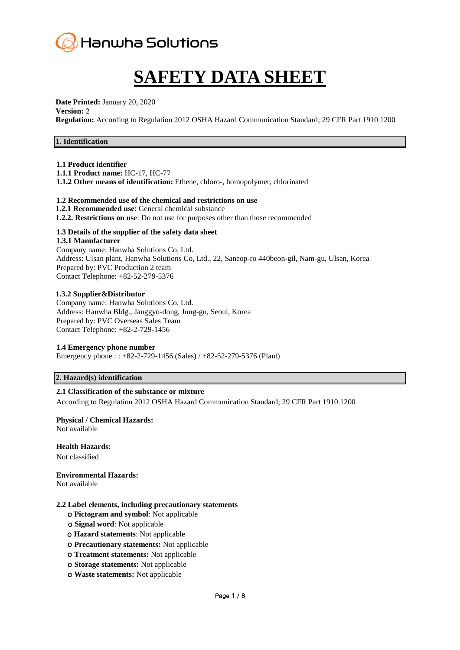

# **SAFETY DATA SHEET**

**Date Printed:** January 20, 2020

#### **Version:** 2

**Regulation:** According to Regulation 2012 OSHA Hazard Communication Standard; 29 CFR Part 1910.1200

# **1. Identification**

# **1.1 Product identifier**

**1.1.1 Product name:** HC-17, HC-77

**1.1.2 Other means of identification:** Ethene, chloro-, homopolymer, chlorinated

# **1.2 Recommended use of the chemical and restrictions on use**

- **1.2.1 Recommended use**: General chemical substance
- **1.2.2. Restrictions on use**: Do not use for purposes other than those recommended

# **1.3 Details of the supplier of the safety data sheet**

#### **1.3.1 Manufacturer**

Company name: Hanwha Solutions Co, Ltd. Address: Ulsan plant, Hanwha Solutions Co, Ltd., 22, Saneop-ro 440beon-gil, Nam-gu, Ulsan, Korea Prepared by: PVC Production 2 team Contact Telephone: +82-52-279-5376

#### **1.3.2 Supplier&Distributor**

Company name: Hanwha Solutions Co, Ltd. Address: Hanwha Bldg., Janggyo-dong, Jung-gu, Seoul, Korea Prepared by: PVC Overseas Sales Team Contact Telephone: +82-2-729-1456

# **1.4 Emergency phone number**

Emergency phone : : +82-2-729-1456 (Sales) / +82-52-279-5376 (Plant)

# **2. Hazard(s) identification**

# **2.1 Classification of the substance or mixture**

According to Regulation 2012 OSHA Hazard Communication Standard; 29 CFR Part 1910.1200

# **Physical / Chemical Hazards:**

Not available

**Health Hazards:**

Not classified

**Environmental Hazards:** 

Not available

#### **2.2 Label elements, including precautionary statements**

- ο **Pictogram and symbol**: Not applicable
- ο **Signal word**: Not applicable
- ο **Hazard statements**: Not applicable
- ο **Precautionary statements:** Not applicable
- ο **Treatment statements:** Not applicable
- ο **Storage statements:** Not applicable
- ο **Waste statements:** Not applicable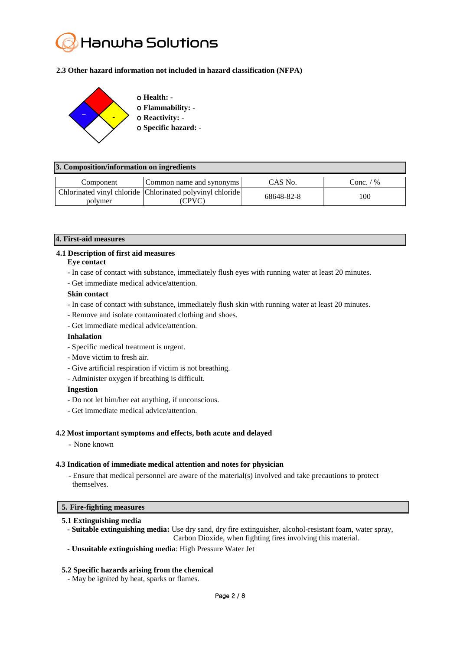# Hanwha Solutions

# **2.3 Other hazard information not included in hazard classification (NFPA)**



| o Health: -                 |
|-----------------------------|
| <b>O</b> Flammability: -    |
| <b>O</b> Reactivity: -      |
| <b>O</b> Specific hazard: - |
|                             |

| 3. Composition/information on ingredients |                                                                           |            |             |  |  |
|-------------------------------------------|---------------------------------------------------------------------------|------------|-------------|--|--|
| Component                                 | Common name and synonyms                                                  | CAS No.    | Conc. $/$ % |  |  |
| polymer                                   | Chlorinated vinyl chloride Chlorinated polyvinyl chloride<br><b>CPVC)</b> | 68648-82-8 | 100         |  |  |

# **4. First-aid measures**

# **4.1 Description of first aid measures**

#### **Eye contact**

- In case of contact with substance, immediately flush eyes with running water at least 20 minutes.
- Get immediate medical advice/attention.

#### **Skin contact**

- In case of contact with substance, immediately flush skin with running water at least 20 minutes.
- Remove and isolate contaminated clothing and shoes.
- Get immediate medical advice/attention.

# **Inhalation**

- Specific medical treatment is urgent.
- Move victim to fresh air.
- Give artificial respiration if victim is not breathing.
- Administer oxygen if breathing is difficult.

#### **Ingestion**

- Do not let him/her eat anything, if unconscious.
- Get immediate medical advice/attention.

#### **4.2 Most important symptoms and effects, both acute and delayed**

- None known

#### **4.3 Indication of immediate medical attention and notes for physician**

- Ensure that medical personnel are aware of the material(s) involved and take precautions to protect themselves.

#### **5. Fire-fighting measures**

#### **5.1 Extinguishing media**

- **- Suitable extinguishing media:** Use dry sand, dry fire extinguisher, alcohol-resistant foam, water spray, Carbon Dioxide, when fighting fires involving this material.
- **- Unsuitable extinguishing media**: High Pressure Water Jet

# **5.2 Specific hazards arising from the chemical**

- May be ignited by heat, sparks or flames.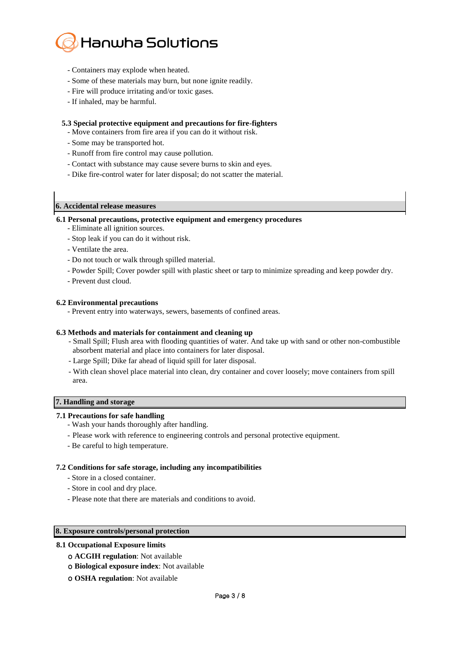

- Containers may explode when heated.
- Some of these materials may burn, but none ignite readily.
- Fire will produce irritating and/or toxic gases.
- If inhaled, may be harmful.

#### **5.3 Special protective equipment and precautions for fire-fighters**

- Move containers from fire area if you can do it without risk.
- Some may be transported hot.
- Runoff from fire control may cause pollution.
- Contact with substance may cause severe burns to skin and eyes.
- Dike fire-control water for later disposal; do not scatter the material.

#### **6. Accidental release measures**

#### **6.1 Personal precautions, protective equipment and emergency procedures**

- Eliminate all ignition sources.
- Stop leak if you can do it without risk.
- Ventilate the area.
- Do not touch or walk through spilled material.
- Powder Spill; Cover powder spill with plastic sheet or tarp to minimize spreading and keep powder dry.
- Prevent dust cloud.

#### **6.2 Environmental precautions**

- Prevent entry into waterways, sewers, basements of confined areas.

#### **6.3 Methods and materials for containment and cleaning up**

- Small Spill; Flush area with flooding quantities of water. And take up with sand or other non-combustible absorbent material and place into containers for later disposal.
- Large Spill; Dike far ahead of liquid spill for later disposal.
- With clean shovel place material into clean, dry container and cover loosely; move containers from spill area.

#### **7. Handling and storage**

#### **7.1 Precautions for safe handling**

- Wash your hands thoroughly after handling.
- Please work with reference to engineering controls and personal protective equipment.
- Be careful to high temperature.

#### **7.2 Conditions for safe storage, including any incompatibilities**

- Store in a closed container.
- Store in cool and dry place.
- Please note that there are materials and conditions to avoid.

#### **8. Exposure controls/personal protection**

#### **8.1 Occupational Exposure limits**

- ο **ACGIH regulation**: Not available
- ο **Biological exposure index**: Not available
- ο **OSHA regulation**: Not available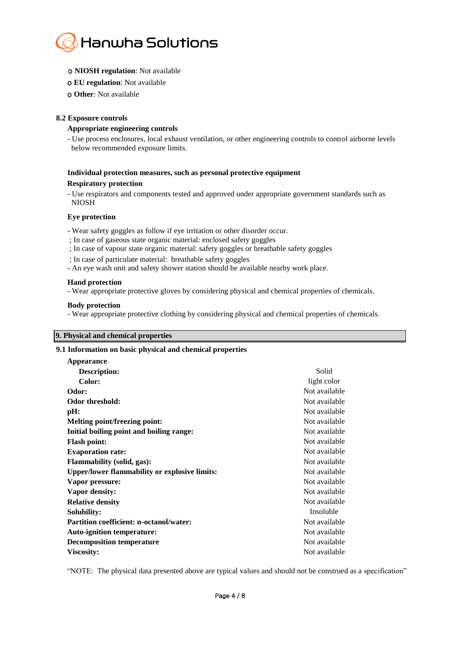

- ο **NIOSH regulation**: Not available
- ο **EU regulation**: Not available
- ο **Other**: Not available

# **8.2 Exposure controls**

# **Appropriate engineering controls**

- Use process enclosures, local exhaust ventilation, or other engineering controls to control airborne levels below recommended exposure limits.

# **Individual protection measures, such as personal protective equipment Respiratory protection**

- Use respirators and components tested and approved under appropriate government standards such as NIOSH

# **Eye protection**

- Wear safety goggles as follow if eye irritation or other disorder occur.
- ; In case of gaseous state organic material: enclosed safety goggles
- ; In case of vapour state organic material: safety goggles or breathable safety goggles
- ; In case of particulate material: breathable safety goggles
- An eye wash unit and safety shower station should be available nearby work place.

#### **Hand protection**

- Wear appropriate protective gloves by considering physical and chemical properties of chemicals.

#### **Body protection**

- Wear appropriate protective clothing by considering physical and chemical properties of chemicals.

# **9. Physical and chemical properties**

# **9.1 Information on basic physical and chemical properties**

| Solid         |
|---------------|
| light color   |
|               |
| Not available |
| Not available |
| Not available |
| Not available |
| Not available |
| Not available |
| Not available |
| Not available |
| Not available |
| Not available |
| Not available |
| Not available |
| Insoluble     |
| Not available |
| Not available |
| Not available |
| Not available |
|               |

"NOTE: The physical data presented above are typical values and should not be construed as a specification"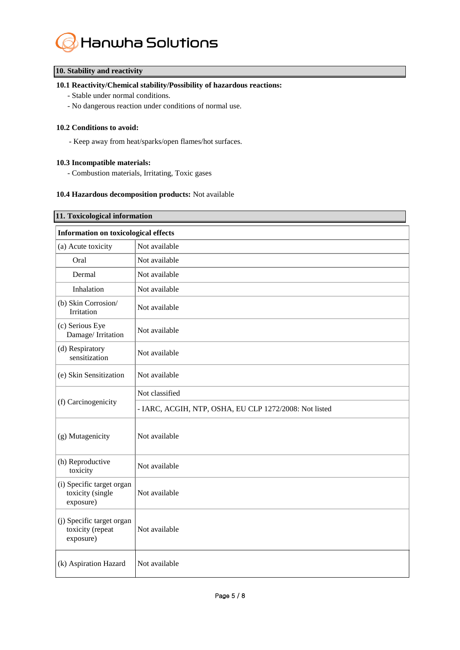

# **10. Stability and reactivity**

# **10.1 Reactivity/Chemical stability/Possibility of hazardous reactions:**

- Stable under normal conditions.
- No dangerous reaction under conditions of normal use.

# **10.2 Conditions to avoid:**

- Keep away from heat/sparks/open flames/hot surfaces.

# **10.3 Incompatible materials:**

- Combustion materials, Irritating, Toxic gases

# **10.4 Hazardous decomposition products:** Not available

| 11. Toxicological information                              |                                                        |  |  |  |
|------------------------------------------------------------|--------------------------------------------------------|--|--|--|
| <b>Information on toxicological effects</b>                |                                                        |  |  |  |
| (a) Acute toxicity                                         | Not available                                          |  |  |  |
| Oral                                                       | Not available                                          |  |  |  |
| Dermal                                                     | Not available                                          |  |  |  |
| Inhalation                                                 | Not available                                          |  |  |  |
| (b) Skin Corrosion/<br>Irritation                          | Not available                                          |  |  |  |
| (c) Serious Eye<br>Damage/Irritation                       | Not available                                          |  |  |  |
| (d) Respiratory<br>sensitization                           | Not available                                          |  |  |  |
| (e) Skin Sensitization                                     | Not available                                          |  |  |  |
|                                                            | Not classified                                         |  |  |  |
| (f) Carcinogenicity                                        | - IARC, ACGIH, NTP, OSHA, EU CLP 1272/2008: Not listed |  |  |  |
| (g) Mutagenicity                                           | Not available                                          |  |  |  |
| (h) Reproductive<br>toxicity                               | Not available                                          |  |  |  |
| (i) Specific target organ<br>toxicity (single<br>exposure) | Not available                                          |  |  |  |
| (j) Specific target organ<br>toxicity (repeat<br>exposure) | Not available                                          |  |  |  |
| (k) Aspiration Hazard                                      | Not available                                          |  |  |  |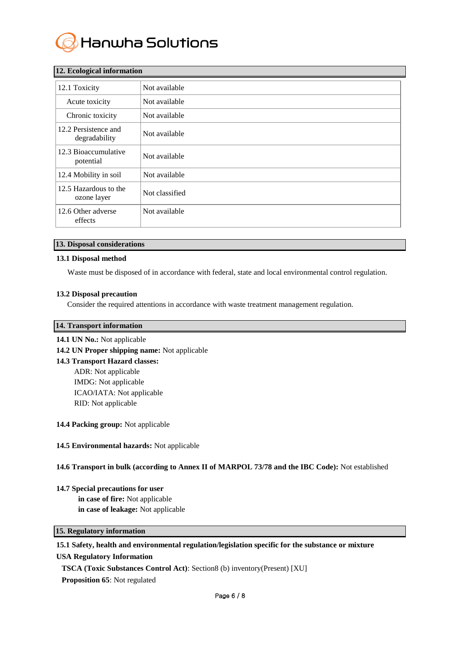

| 12. Ecological information            |                |  |  |  |
|---------------------------------------|----------------|--|--|--|
| 12.1 Toxicity                         | Not available  |  |  |  |
| Acute toxicity                        | Not available  |  |  |  |
| Chronic toxicity                      | Not available  |  |  |  |
| 12.2 Persistence and<br>degradability | Not available  |  |  |  |
| 12.3 Bioaccumulative<br>potential     | Not available  |  |  |  |
| 12.4 Mobility in soil                 | Not available  |  |  |  |
| 12.5 Hazardous to the<br>ozone layer  | Not classified |  |  |  |
| 12.6 Other adverse<br>effects         | Not available  |  |  |  |

# **12. Ecological information**

# **13. Disposal considerations**

#### **13.1 Disposal method**

Waste must be disposed of in accordance with federal, state and local environmental control regulation.

#### **13.2 Disposal precaution**

Consider the required attentions in accordance with waste treatment management regulation.

# **14. Transport information**

**14.1 UN No.:** Not applicable

**14.2 UN Proper shipping name:** Not applicable

**14.3 Transport Hazard classes:**  ADR: Not applicable IMDG: Not applicable ICAO/IATA: Not applicable RID: Not applicable

#### **14.4 Packing group:** Not applicable

#### **14.5 Environmental hazards:** Not applicable

#### **14.6 Transport in bulk (according to Annex II of MARPOL 73/78 and the IBC Code):** Not established

#### **14.7 Special precautions for user**

**in case of fire:** Not applicable **in case of leakage:** Not applicable

# **15. Regulatory information**

# **15.1 Safety, health and environmental regulation/legislation specific for the substance or mixture**

# **USA Regulatory Information**

**TSCA (Toxic Substances Control Act)**: Section8 (b) inventory(Present) [XU]

**Proposition 65**: Not regulated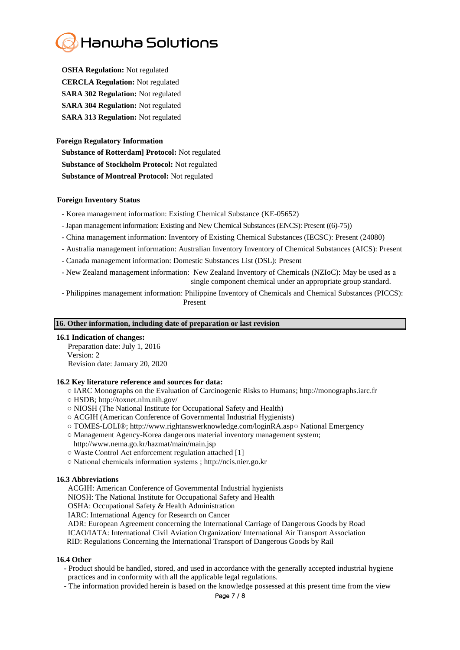# Hanwha Solutions

**OSHA Regulation:** Not regulated **CERCLA Regulation:** Not regulated **SARA 302 Regulation:** Not regulated **SARA 304 Regulation:** Not regulated **SARA 313 Regulation:** Not regulated

# **Foreign Regulatory Information**

**Substance of Rotterdam] Protocol:** Not regulated **Substance of Stockholm Protocol:** Not regulated **Substance of Montreal Protocol:** Not regulated

# **Foreign Inventory Status**

- Korea management information: Existing Chemical Substance (KE-05652)
- -Japan management information: Existing and New Chemical Substances (ENCS): Present ((6)-75))
- China management information: Inventory of Existing Chemical Substances (IECSC): Present (24080)
- Australia management information: Australian Inventory Inventory of Chemical Substances (AICS): Present
- Canada management information: Domestic Substances List (DSL): Present
- New Zealand management information: New Zealand Inventory of Chemicals (NZIoC): May be used as a single component chemical under an appropriate group standard.
- Philippines management information: Philippine Inventory of Chemicals and Chemical Substances (PICCS): Present

# **16. Other information, including date of preparation or last revision**

# **16.1 Indication of changes:**

 Preparation date: July 1, 2016 Version: 2 Revision date: January 20, 2020

# **16.2 Key literature reference and sources for data:**

- IARC Monographs on the Evaluation of Carcinogenic Risks to Humans; http://monographs.iarc.fr
- HSDB; http://toxnet.nlm.nih.gov/
- NIOSH (The National Institute for Occupational Safety and Health)
- ACGIH (American Conference of Governmental Industrial Hygienists)
- TOMES-LOLI® ; http://www.rightanswerknowledge.com/loginRA.asp○ National Emergency
- Management Agency-Korea dangerous material inventory management system; http://www.nema.go.kr/hazmat/main/main.jsp
- Waste Control Act enforcement regulation attached [1]
- National chemicals information systems ; [http://ncis.nier.go.kr](http://ncis.nier.go.kr/)

# **16.3 Abbreviations**

ACGIH: American Conference of Governmental Industrial hygienists

NIOSH: The National Institute for Occupational Safety and Health

OSHA: Occupational Safety & Health Administration

IARC: International Agency for Research on Cancer

ADR: European Agreement concerning the International Carriage of Dangerous Goods by Road ICAO/IATA: International Civil Aviation Organization/ International Air Transport Association

RID: Regulations Concerning the International Transport of Dangerous Goods by Rail

# **16.4 Other**

- Product should be handled, stored, and used in accordance with the generally accepted industrial hygiene practices and in conformity with all the applicable legal regulations.
- The information provided herein is based on the knowledge possessed at this present time from the view